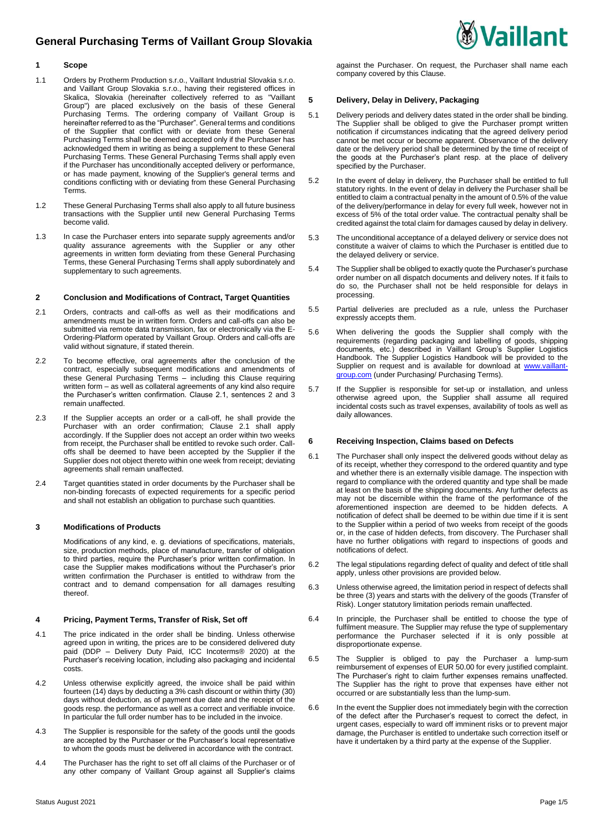# **General Purchasing Terms of Vaillant Group Slovakia**



## **1 Scope**

- 1.1 Orders by Protherm Production s.r.o., Vaillant Industrial Slovakia s.r.o. and Vaillant Group Slovakia s.r.o., having their registered offices in Skalica, Slovakia (hereinafter collectively referred to as "Vaillant Group") are placed exclusively on the basis of these General Purchasing Terms. The ordering company of Vaillant Group is hereinafter referred to as the "Purchaser". General terms and conditions of the Supplier that conflict with or deviate from these General Purchasing Terms shall be deemed accepted only if the Purchaser has acknowledged them in writing as being a supplement to these General Purchasing Terms. These General Purchasing Terms shall apply even if the Purchaser has unconditionally accepted delivery or performance, or has made payment, knowing of the Supplier's general terms and conditions conflicting with or deviating from these General Purchasing Terms.
- 1.2 These General Purchasing Terms shall also apply to all future business transactions with the Supplier until new General Purchasing Terms become valid.
- 1.3 In case the Purchaser enters into separate supply agreements and/or quality assurance agreements with the Supplier or any other agreements in written form deviating from these General Purchasing Terms, these General Purchasing Terms shall apply subordinately and supplementary to such agreements.

## **2 Conclusion and Modifications of Contract, Target Quantities**

- 2.1 Orders, contracts and call-offs as well as their modifications and amendments must be in written form. Orders and call-offs can also be submitted via remote data transmission, fax or electronically via the E-Ordering-Platform operated by Vaillant Group. Orders and call-offs are valid without signature, if stated therein.
- 2.2 To become effective, oral agreements after the conclusion of the contract, especially subsequent modifications and amendments of these General Purchasing Terms – including this Clause requiring written form – as well as collateral agreements of any kind also require the Purchaser's written confirmation. Clause 2.1, sentences 2 and 3 remain unaffected.
- 2.3 If the Supplier accepts an order or a call-off, he shall provide the Purchaser with an order confirmation; Clause 2.1 shall apply accordingly. If the Supplier does not accept an order within two weeks from receipt, the Purchaser shall be entitled to revoke such order. Calloffs shall be deemed to have been accepted by the Supplier if the Supplier does not object thereto within one week from receipt; deviating agreements shall remain unaffected.
- 2.4 Target quantities stated in order documents by the Purchaser shall be non-binding forecasts of expected requirements for a specific period and shall not establish an obligation to purchase such quantities.

## **3 Modifications of Products**

Modifications of any kind, e. g. deviations of specifications, materials, size, production methods, place of manufacture, transfer of obligation to third parties, require the Purchaser's prior written confirmation. In case the Supplier makes modifications without the Purchaser's prior written confirmation the Purchaser is entitled to withdraw from the contract and to demand compensation for all damages resulting thereof.

#### **4 Pricing, Payment Terms, Transfer of Risk, Set off**

- 4.1 The price indicated in the order shall be binding. Unless otherwise agreed upon in writing, the prices are to be considered delivered duty paid (DDP – Delivery Duty Paid, ICC Incoterms® 2020) at the Purchaser's receiving location, including also packaging and incidental costs.
- 4.2 Unless otherwise explicitly agreed, the invoice shall be paid within fourteen (14) days by deducting a 3% cash discount or within thirty (30) days without deduction, as of payment due date and the receipt of the goods resp. the performance as well as a correct and verifiable invoice. In particular the full order number has to be included in the invoice.
- 4.3 The Supplier is responsible for the safety of the goods until the goods are accepted by the Purchaser or the Purchaser's local representative to whom the goods must be delivered in accordance with the contract.
- 4.4 The Purchaser has the right to set off all claims of the Purchaser or of any other company of Vaillant Group against all Supplier's claims

against the Purchaser. On request, the Purchaser shall name each company covered by this Clause.

## **5 Delivery, Delay in Delivery, Packaging**

- 5.1 Delivery periods and delivery dates stated in the order shall be binding. The Supplier shall be obliged to give the Purchaser prompt written notification if circumstances indicating that the agreed delivery period cannot be met occur or become apparent. Observance of the delivery date or the delivery period shall be determined by the time of receipt of the goods at the Purchaser's plant resp. at the place of delivery specified by the Purchaser.
- 5.2 In the event of delay in delivery, the Purchaser shall be entitled to full statutory rights. In the event of delay in delivery the Purchaser shall be entitled to claim a contractual penalty in the amount of 0.5% of the value of the delivery/performance in delay for every full week, however not in excess of 5% of the total order value. The contractual penalty shall be credited against the total claim for damages caused by delay in delivery.
- 5.3 The unconditional acceptance of a delayed delivery or service does not constitute a waiver of claims to which the Purchaser is entitled due to the delayed delivery or service.
- 5.4 The Supplier shall be obliged to exactly quote the Purchaser's purchase order number on all dispatch documents and delivery notes. If it fails to do so, the Purchaser shall not be held responsible for delays in processing.
- 5.5 Partial deliveries are precluded as a rule, unless the Purchaser expressly accepts them.
- 5.6 When delivering the goods the Supplier shall comply with the requirements (regarding packaging and labelling of goods, shipping documents, etc.) described in Vaillant Group's Supplier Logistics Handbook. The Supplier Logistics Handbook will be provided to the Supplier on request and is available for download at [www.vaillant](http://www.vaillant-group.com/)[group.com](http://www.vaillant-group.com/) (under Purchasing/ Purchasing Terms).
- 5.7 If the Supplier is responsible for set-up or installation, and unless otherwise agreed upon, the Supplier shall assume all required incidental costs such as travel expenses, availability of tools as well as daily allowances.

## **6 Receiving Inspection, Claims based on Defects**

- 6.1 The Purchaser shall only inspect the delivered goods without delay as of its receipt, whether they correspond to the ordered quantity and type and whether there is an externally visible damage. The inspection with regard to compliance with the ordered quantity and type shall be made at least on the basis of the shipping documents. Any further defects as may not be discernible within the frame of the performance of the aforementioned inspection are deemed to be hidden defects. A notification of defect shall be deemed to be within due time if it is sent to the Supplier within a period of two weeks from receipt of the goods or, in the case of hidden defects, from discovery. The Purchaser shall have no further obligations with regard to inspections of goods and notifications of defect.
- 6.2 The legal stipulations regarding defect of quality and defect of title shall apply, unless other provisions are provided below.
- 6.3 Unless otherwise agreed, the limitation period in respect of defects shall be three (3) years and starts with the delivery of the goods (Transfer of Risk). Longer statutory limitation periods remain unaffected.
- 6.4 In principle, the Purchaser shall be entitled to choose the type of fulfilment measure. The Supplier may refuse the type of supplementary performance the Purchaser selected if it is only possible at disproportionate expense.
- 6.5 The Supplier is obliged to pay the Purchaser a lump-sum reimbursement of expenses of EUR 50.00 for every justified complaint. The Purchaser's right to claim further expenses remains unaffected. The Supplier has the right to prove that expenses have either not occurred or are substantially less than the lump-sum.
- 6.6 In the event the Supplier does not immediately begin with the correction of the defect after the Purchaser's request to correct the defect, in urgent cases, especially to ward off imminent risks or to prevent major damage, the Purchaser is entitled to undertake such correction itself or have it undertaken by a third party at the expense of the Supplier.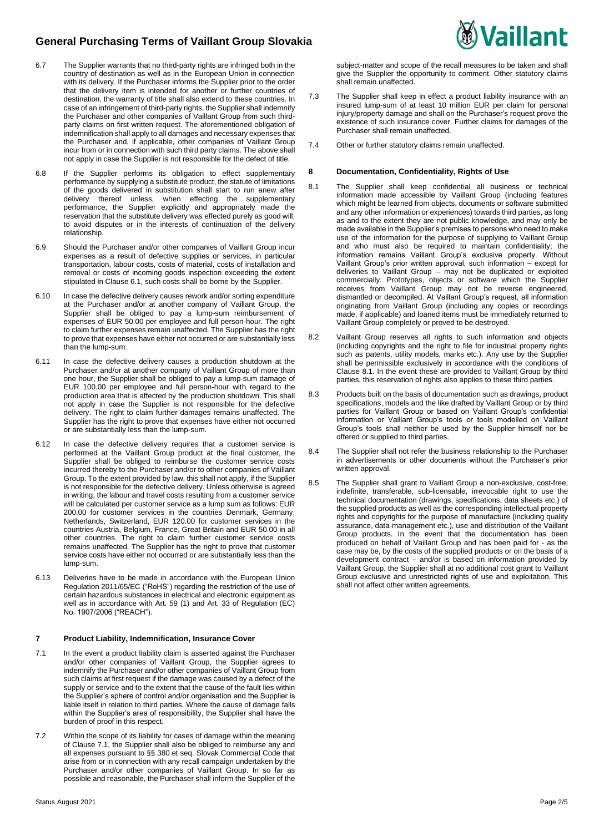

- 6.7 The Supplier warrants that no third-party rights are infringed both in the country of destination as well as in the European Union in connection with its delivery. If the Purchaser informs the Supplier prior to the order that the delivery item is intended for another or further countries of destination, the warranty of title shall also extend to these countries. In case of an infringement of third-party rights, the Supplier shall indemnify the Purchaser and other companies of Vaillant Group from such thirdparty claims on first written request. The aforementioned obligation of indemnification shall apply to all damages and necessary expenses that the Purchaser and, if applicable, other companies of Vaillant Group incur from or in connection with such third party claims. The above shall not apply in case the Supplier is not responsible for the defect of title.
- 6.8 If the Supplier performs its obligation to effect supplementary performance by supplying a substitute product, the statute of limitations of the goods delivered in substitution shall start to run anew after delivery thereof unless, when effecting the supplementary delivery thereof unless, when effecting the supplementary performance, the Supplier explicitly and appropriately made the reservation that the substitute delivery was effected purely as good will, to avoid disputes or in the interests of continuation of the delivery relationship.
- 6.9 Should the Purchaser and/or other companies of Vaillant Group incur expenses as a result of defective supplies or services, in particular transportation, labour costs, costs of material, costs of installation and removal or costs of incoming goods inspection exceeding the extent stipulated in Clause 6.1, such costs shall be borne by the Supplier.
- 6.10 In case the defective delivery causes rework and/or sorting expenditure at the Purchaser and/or at another company of Vaillant Group, the Supplier shall be obliged to pay a lump-sum reimbursement of expenses of EUR 50.00 per employee and full person-hour. The right to claim further expenses remain unaffected. The Supplier has the right to prove that expenses have either not occurred or are substantially less than the lump-sum.
- 6.11 In case the defective delivery causes a production shutdown at the Purchaser and/or at another company of Vaillant Group of more than one hour, the Supplier shall be obliged to pay a lump-sum damage of EUR 100.00 per employee and full person-hour with regard to the production area that is affected by the production shutdown. This shall not apply in case the Supplier is not responsible for the defective delivery. The right to claim further damages remains unaffected. The Supplier has the right to prove that expenses have either not occurred or are substantially less than the lump-sum.
- 6.12 In case the defective delivery requires that a customer service is performed at the Vaillant Group product at the final customer, the Supplier shall be obliged to reimburse the customer service costs incurred thereby to the Purchaser and/or to other companies of Vaillant Group. To the extent provided by law, this shall not apply, if the Supplier is not responsible for the defective delivery. Unless otherwise is agreed in writing, the labour and travel costs resulting from a customer service will be calculated per customer service as a lump sum as follows: EUR 200.00 for customer services in the countries Denmark, Germany, Netherlands, Switzerland, EUR 120.00 for customer services in the countries Austria, Belgium, France, Great Britain and EUR 50.00 in all other countries. The right to claim further customer service costs remains unaffected. The Supplier has the right to prove that customer service costs have either not occurred or are substantially less than the lump-sum.
- 6.13 Deliveries have to be made in accordance with the European Union Regulation 2011/65/EC ("RoHS") regarding the restriction of the use of certain hazardous substances in electrical and electronic equipment as well as in accordance with Art. 59 (1) and Art. 33 of Regulation (EC) No. 1907/2006 ("REACH").

## **7 Product Liability, Indemnification, Insurance Cover**

- 7.1 In the event a product liability claim is asserted against the Purchaser and/or other companies of Vaillant Group, the Supplier agrees to indemnify the Purchaser and/or other companies of Vaillant Group from such claims at first request if the damage was caused by a defect of the supply or service and to the extent that the cause of the fault lies within the Supplier's sphere of control and/or organisation and the Supplier is liable itself in relation to third parties. Where the cause of damage falls within the Supplier's area of responsibility, the Supplier shall have the burden of proof in this respect.
- 7.2 Within the scope of its liability for cases of damage within the meaning of Clause 7.1, the Supplier shall also be obliged to reimburse any and all expenses pursuant to §§ 380 et seq. Slovak Commercial Code that arise from or in connection with any recall campaign undertaken by the Purchaser and/or other companies of Vaillant Group. In so far as possible and reasonable, the Purchaser shall inform the Supplier of the

subject-matter and scope of the recall measures to be taken and shall give the Supplier the opportunity to comment. Other statutory claims shall remain unaffected.

*V***aillant** 

- 7.3 The Supplier shall keep in effect a product liability insurance with an insured lump-sum of at least 10 million EUR per claim for personal injury/property damage and shall on the Purchaser's request prove the existence of such insurance cover. Further claims for damages of the Purchaser shall remain unaffected.
- 7.4 Other or further statutory claims remain unaffected.

## **8 Documentation, Confidentiality, Rights of Use**

- 8.1 The Supplier shall keep confidential all business or technical information made accessible by Vaillant Group (including features which might be learned from objects, documents or software submitted and any other information or experiences) towards third parties, as long as and to the extent they are not public knowledge, and may only be made available in the Supplier's premises to persons who need to make use of the information for the purpose of supplying to Vaillant Group and who must also be required to maintain confidentiality; the information remains Vaillant Group's exclusive property. Without Vaillant Group's prior written approval, such information – except for deliveries to Vaillant Group – may not be duplicated or exploited commercially. Prototypes, objects or software which the Supplier receives from Vaillant Group may not be reverse engineered, dismantled or decompiled. At Vaillant Group's request, all information originating from Vaillant Group (including any copies or recordings made, if applicable) and loaned items must be immediately returned to Vaillant Group completely or proved to be destroyed.
- 8.2 Vaillant Group reserves all rights to such information and objects (including copyrights and the right to file for industrial property rights such as patents, utility models, marks etc.). Any use by the Supplier shall be permissible exclusively in accordance with the conditions of Clause 8.1. In the event these are provided to Vaillant Group by third parties, this reservation of rights also applies to these third parties.
- 8.3 Products built on the basis of documentation such as drawings, product specifications, models and the like drafted by Vaillant Group or by third parties for Vaillant Group or based on Vaillant Group's confidential information or Vaillant Group's tools or tools modelled on Vaillant Group's tools shall neither be used by the Supplier himself nor be offered or supplied to third parties.
- 8.4 The Supplier shall not refer the business relationship to the Purchaser in advertisements or other documents without the Purchaser's prior written approval.
- 8.5 The Supplier shall grant to Vaillant Group a non-exclusive, cost-free, indefinite, transferable, sub-licensable, irrevocable right to use the technical documentation (drawings, specifications, data sheets etc.) of the supplied products as well as the corresponding intellectual property rights and copyrights for the purpose of manufacture (including quality assurance, data-management etc.), use and distribution of the Vaillant Group products. In the event that the documentation has been produced on behalf of Vaillant Group and has been paid for - as the case may be, by the costs of the supplied products or on the basis of a development contract – and/or is based on information provided by Vaillant Group, the Supplier shall at no additional cost grant to Vaillant Group exclusive and unrestricted rights of use and exploitation. This shall not affect other written agreements.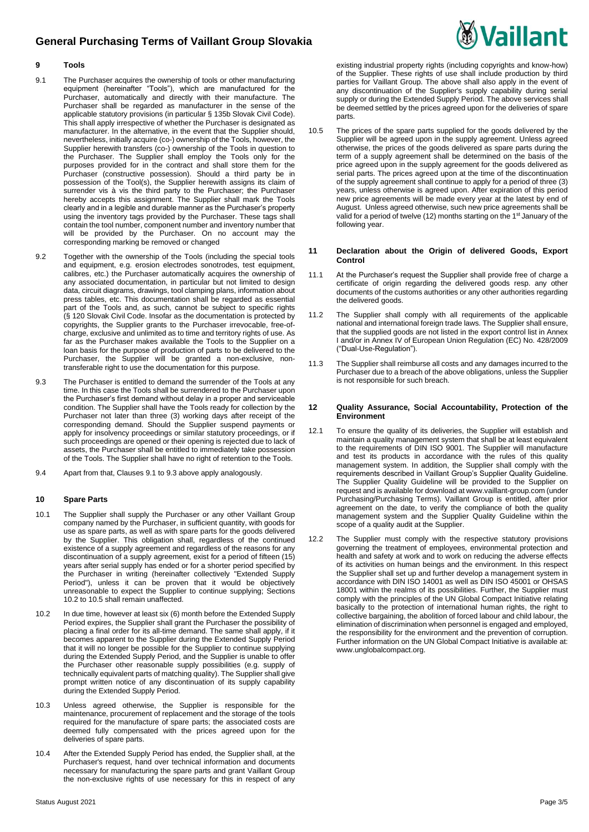# **General Purchasing Terms of Vaillant Group Slovakia**



## **9 Tools**

- 9.1 The Purchaser acquires the ownership of tools or other manufacturing equipment (hereinafter "Tools"), which are manufactured for the Purchaser, automatically and directly with their manufacture. The Purchaser shall be regarded as manufacturer in the sense of the applicable statutory provisions (in particular § 135b Slovak Civil Code). This shall apply irrespective of whether the Purchaser is designated as manufacturer. In the alternative, in the event that the Supplier should, nevertheless, initially acquire (co-) ownership of the Tools, however, the Supplier herewith transfers (co-) ownership of the Tools in question to the Purchaser. The Supplier shall employ the Tools only for the purposes provided for in the contract and shall store them for the Purchaser (constructive possession). Should a third party be in possession of the Tool(s), the Supplier herewith assigns its claim of surrender vis à vis the third party to the Purchaser; the Purchaser hereby accepts this assignment. The Supplier shall mark the Tools clearly and in a legible and durable manner as the Purchaser's property using the inventory tags provided by the Purchaser. These tags shall contain the tool number, component number and inventory number that will be provided by the Purchaser. On no account may the corresponding marking be removed or changed
- 9.2 Together with the ownership of the Tools (including the special tools and equipment, e.g. erosion electrodes sonotrodes, test equipment, calibres, etc.) the Purchaser automatically acquires the ownership of any associated documentation, in particular but not limited to design data, circuit diagrams, drawings, tool clamping plans, information about press tables, etc. This documentation shall be regarded as essential part of the Tools and, as such, cannot be subject to specific rights (§ 120 Slovak Civil Code. Insofar as the documentation is protected by copyrights, the Supplier grants to the Purchaser irrevocable, free-ofcharge, exclusive and unlimited as to time and territory rights of use. As far as the Purchaser makes available the Tools to the Supplier on a loan basis for the purpose of production of parts to be delivered to the Purchaser, the Supplier will be granted a non-exclusive, nontransferable right to use the documentation for this purpose.
- 9.3 The Purchaser is entitled to demand the surrender of the Tools at any time. In this case the Tools shall be surrendered to the Purchaser upon the Purchaser's first demand without delay in a proper and serviceable condition. The Supplier shall have the Tools ready for collection by the Purchaser not later than three (3) working days after receipt of the corresponding demand. Should the Supplier suspend payments or apply for insolvency proceedings or similar statutory proceedings, or if such proceedings are opened or their opening is rejected due to lack of assets, the Purchaser shall be entitled to immediately take possession of the Tools. The Supplier shall have no right of retention to the Tools.
- 9.4 Apart from that, Clauses 9.1 to 9.3 above apply analogously.

#### **10 Spare Parts**

- 10.1 The Supplier shall supply the Purchaser or any other Vaillant Group company named by the Purchaser, in sufficient quantity, with goods for use as spare parts, as well as with spare parts for the goods delivered by the Supplier. This obligation shall, regardless of the continued existence of a supply agreement and regardless of the reasons for any discontinuation of a supply agreement, exist for a period of fifteen (15) years after serial supply has ended or for a shorter period specified by the Purchaser in writing (hereinafter collectively "Extended Supply Period"), unless it can be proven that it would be objectively unreasonable to expect the Supplier to continue supplying; Sections 10.2 to 10.5 shall remain unaffected.
- 10.2 In due time, however at least six (6) month before the Extended Supply Period expires, the Supplier shall grant the Purchaser the possibility of placing a final order for its all-time demand. The same shall apply, if it becomes apparent to the Supplier during the Extended Supply Period that it will no longer be possible for the Supplier to continue supplying during the Extended Supply Period, and the Supplier is unable to offer the Purchaser other reasonable supply possibilities (e.g. supply of technically equivalent parts of matching quality). The Supplier shall give prompt written notice of any discontinuation of its supply capability during the Extended Supply Period.
- 10.3 Unless agreed otherwise, the Supplier is responsible for the maintenance, procurement of replacement and the storage of the tools required for the manufacture of spare parts; the associated costs are deemed fully compensated with the prices agreed upon for the deliveries of spare parts.
- 10.4 After the Extended Supply Period has ended, the Supplier shall, at the Purchaser's request, hand over technical information and documents necessary for manufacturing the spare parts and grant Vaillant Group the non-exclusive rights of use necessary for this in respect of any

existing industrial property rights (including copyrights and know-how) of the Supplier. These rights of use shall include production by third parties for Vaillant Group. The above shall also apply in the event of any discontinuation of the Supplier's supply capability during serial supply or during the Extended Supply Period. The above services shall be deemed settled by the prices agreed upon for the deliveries of spare parts.

10.5 The prices of the spare parts supplied for the goods delivered by the Supplier will be agreed upon in the supply agreement. Unless agreed otherwise, the prices of the goods delivered as spare parts during the term of a supply agreement shall be determined on the basis of the price agreed upon in the supply agreement for the goods delivered as serial parts. The prices agreed upon at the time of the discontinuation of the supply agreement shall continue to apply for a period of three (3) years, unless otherwise is agreed upon. After expiration of this period new price agreements will be made every year at the latest by end of August. Unless agreed otherwise, such new price agreements shall be valid for a period of twelve (12) months starting on the 1<sup>st</sup> January of the following year.

#### **11 Declaration about the Origin of delivered Goods, Export Control**

- 11.1 At the Purchaser's request the Supplier shall provide free of charge a certificate of origin regarding the delivered goods resp. any other documents of the customs authorities or any other authorities regarding the delivered goods.
- 11.2 The Supplier shall comply with all requirements of the applicable national and international foreign trade laws. The Supplier shall ensure, that the supplied goods are not listed in the export control list in Annex I and/or in Annex IV of European Union Regulation (EC) No. 428/2009 ("Dual-Use-Regulation").
- 11.3 The Supplier shall reimburse all costs and any damages incurred to the Purchaser due to a breach of the above obligations, unless the Supplier is not responsible for such breach.

#### **12 Quality Assurance, Social Accountability, Protection of the Environment**

- 12.1 To ensure the quality of its deliveries, the Supplier will establish and maintain a quality management system that shall be at least equivalent to the requirements of DIN ISO 9001. The Supplier will manufacture and test its products in accordance with the rules of this quality management system. In addition, the Supplier shall comply with the requirements described in Vaillant Group's Supplier Quality Guideline. The Supplier Quality Guideline will be provided to the Supplier on request and is available for download at www.vaillant-group.com (under Purchasing/Purchasing Terms). Vaillant Group is entitled, after prior agreement on the date, to verify the compliance of both the quality management system and the Supplier Quality Guideline within the scope of a quality audit at the Supplier.
- 12.2 The Supplier must comply with the respective statutory provisions governing the treatment of employees, environmental protection and health and safety at work and to work on reducing the adverse effects of its activities on human beings and the environment. In this respect the Supplier shall set up and further develop a management system in accordance with DIN ISO 14001 as well as DIN ISO 45001 or OHSAS 18001 within the realms of its possibilities. Further, the Supplier must comply with the principles of the UN Global Compact Initiative relating basically to the protection of international human rights, the right to collective bargaining, the abolition of forced labour and child labour, the elimination of discrimination when personnel is engaged and employed, the responsibility for the environment and the prevention of corruption. Further information on the UN Global Compact Initiative is available at: [www.unglobalcompact.org.](http://www.unglobalcompact.org/)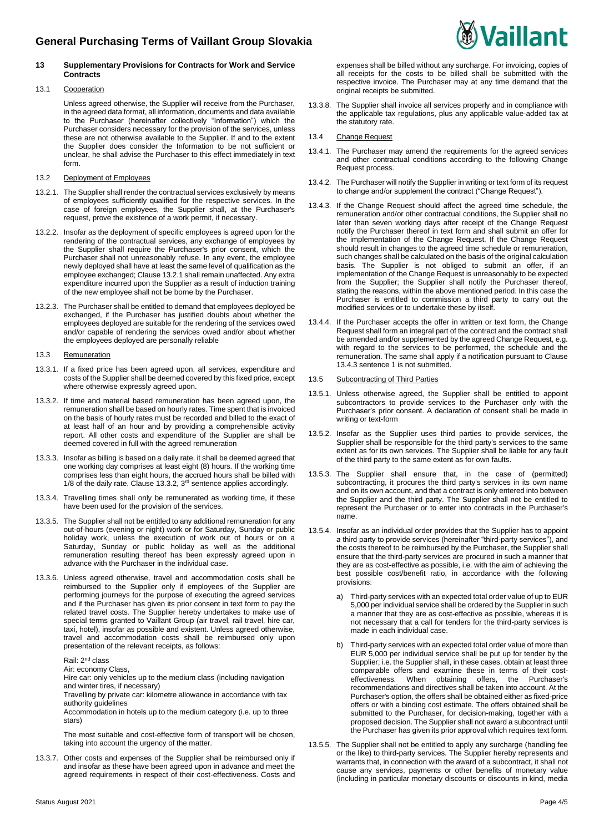## **13 Supplementary Provisions for Contracts for Work and Service Contracts**

## 13.1 Cooperation

Unless agreed otherwise, the Supplier will receive from the Purchaser, in the agreed data format, all information, documents and data available to the Purchaser (hereinafter collectively "Information") which the Purchaser considers necessary for the provision of the services, unless these are not otherwise available to the Supplier. If and to the extent the Supplier does consider the Information to be not sufficient or unclear, he shall advise the Purchaser to this effect immediately in text form.

- 13.2 Deployment of Employees
- 13.2.1. The Supplier shall render the contractual services exclusively by means of employees sufficiently qualified for the respective services. In the case of foreign employees, the Supplier shall, at the Purchaser's request, prove the existence of a work permit, if necessary.
- 13.2.2. Insofar as the deployment of specific employees is agreed upon for the rendering of the contractual services, any exchange of employees by the Supplier shall require the Purchaser's prior consent, which the Purchaser shall not unreasonably refuse. In any event, the employee newly deployed shall have at least the same level of qualification as the employee exchanged; Clause 13.2.1 shall remain unaffected. Any extra expenditure incurred upon the Supplier as a result of induction training of the new employee shall not be borne by the Purchaser.
- 13.2.3. The Purchaser shall be entitled to demand that employees deployed be exchanged, if the Purchaser has justified doubts about whether the employees deployed are suitable for the rendering of the services owed and/or capable of rendering the services owed and/or about whether the employees deployed are personally reliable
- 13.3 Remuneration
- 13.3.1. If a fixed price has been agreed upon, all services, expenditure and costs of the Supplier shall be deemed covered by this fixed price, except where otherwise expressly agreed upon.
- 13.3.2. If time and material based remuneration has been agreed upon, the remuneration shall be based on hourly rates. Time spent that is invoiced on the basis of hourly rates must be recorded and billed to the exact of at least half of an hour and by providing a comprehensible activity report. All other costs and expenditure of the Supplier are shall be deemed covered in full with the agreed remuneration
- 13.3.3. Insofar as billing is based on a daily rate, it shall be deemed agreed that one working day comprises at least eight (8) hours. If the working time comprises less than eight hours, the accrued hours shall be billed with 1/8 of the daily rate. Clause 13.3.2, 3<sup>rd</sup> sentence applies accordingly.
- 13.3.4. Travelling times shall only be remunerated as working time, if these have been used for the provision of the services.
- 13.3.5. The Supplier shall not be entitled to any additional remuneration for any out-of-hours (evening or night) work or for Saturday, Sunday or public holiday work, unless the execution of work out of hours or on a Saturday, Sunday or public holiday as well as the additional remuneration resulting thereof has been expressly agreed upon in advance with the Purchaser in the individual case.
- 13.3.6. Unless agreed otherwise, travel and accommodation costs shall be reimbursed to the Supplier only if employees of the Supplier are performing journeys for the purpose of executing the agreed services and if the Purchaser has given its prior consent in text form to pay the related travel costs. The Supplier hereby undertakes to make use of special terms granted to Vaillant Group (air travel, rail travel, hire car, taxi, hotel), insofar as possible and existent. Unless agreed otherwise, travel and accommodation costs shall be reimbursed only upon presentation of the relevant receipts, as follows:

Rail: 2nd class

Air: economy Class,

Hire car: only vehicles up to the medium class (including navigation and winter tires, if necessary)

Travelling by private car: kilometre allowance in accordance with tax authority guidelines

Accommodation in hotels up to the medium category (i.e. up to three stars)

The most suitable and cost-effective form of transport will be chosen, taking into account the urgency of the matter.

13.3.7. Other costs and expenses of the Supplier shall be reimbursed only if and insofar as these have been agreed upon in advance and meet the agreed requirements in respect of their cost-effectiveness. Costs and **Vaillant** 

13.3.8. The Supplier shall invoice all services properly and in compliance with the applicable tax regulations, plus any applicable value-added tax at the statutory rate.

## 13.4 Change Request

- 13.4.1. The Purchaser may amend the requirements for the agreed services and other contractual conditions according to the following Change Request process.
- 13.4.2. The Purchaser will notify the Supplier in writing or text form of its request to change and/or supplement the contract ("Change Request").
- 13.4.3. If the Change Request should affect the agreed time schedule, the remuneration and/or other contractual conditions, the Supplier shall no later than seven working days after receipt of the Change Request notify the Purchaser thereof in text form and shall submit an offer for the implementation of the Change Request. If the Change Request should result in changes to the agreed time schedule or remuneration, such changes shall be calculated on the basis of the original calculation basis. The Supplier is not obliged to submit an offer, if an implementation of the Change Request is unreasonably to be expected from the Supplier; the Supplier shall notify the Purchaser thereof, stating the reasons, within the above mentioned period. In this case the Purchaser is entitled to commission a third party to carry out the modified services or to undertake these by itself.
- 13.4.4. If the Purchaser accepts the offer in written or text form, the Change Request shall form an integral part of the contract and the contract shall be amended and/or supplemented by the agreed Change Request, e.g. with regard to the services to be performed, the schedule and the remuneration. The same shall apply if a notification pursuant to Clause 13.4.3 sentence 1 is not submitted.

## 13.5 Subcontracting of Third Parties

- 13.5.1. Unless otherwise agreed, the Supplier shall be entitled to appoint subcontractors to provide services to the Purchaser only with the Purchaser's prior consent. A declaration of consent shall be made in writing or text-form
- 13.5.2. Insofar as the Supplier uses third parties to provide services, the Supplier shall be responsible for the third party's services to the same extent as for its own services. The Supplier shall be liable for any fault of the third party to the same extent as for own faults.
- 13.5.3. The Supplier shall ensure that, in the case of (permitted) subcontracting, it procures the third party's services in its own name and on its own account, and that a contract is only entered into between the Supplier and the third party. The Supplier shall not be entitled to represent the Purchaser or to enter into contracts in the Purchaser's name.
- 13.5.4. Insofar as an individual order provides that the Supplier has to appoint a third party to provide services (hereinafter "third-party services"), and the costs thereof to be reimbursed by the Purchaser, the Supplier shall ensure that the third-party services are procured in such a manner that they are as cost-effective as possible, i.e. with the aim of achieving the best possible cost/benefit ratio, in accordance with the following provisions:
	- a) Third-party services with an expected total order value of up to EUR 5,000 per individual service shall be ordered by the Supplier in such a manner that they are as cost-effective as possible, whereas it is not necessary that a call for tenders for the third-party services is made in each individual case.
	- b) Third-party services with an expected total order value of more than EUR 5,000 per individual service shall be put up for tender by the Supplier; i.e. the Supplier shall, in these cases, obtain at least three comparable offers and examine these in terms of their costeffectiveness. When obtaining offers, the Purchaser's recommendations and directives shall be taken into account. At the Purchaser's option, the offers shall be obtained either as fixed-price offers or with a binding cost estimate. The offers obtained shall be submitted to the Purchaser, for decision-making, together with a proposed decision. The Supplier shall not award a subcontract until the Purchaser has given its prior approval which requires text form.
- 13.5.5. The Supplier shall not be entitled to apply any surcharge (handling fee or the like) to third-party services. The Supplier hereby represents and warrants that, in connection with the award of a subcontract, it shall not cause any services, payments or other benefits of monetary value (including in particular monetary discounts or discounts in kind, media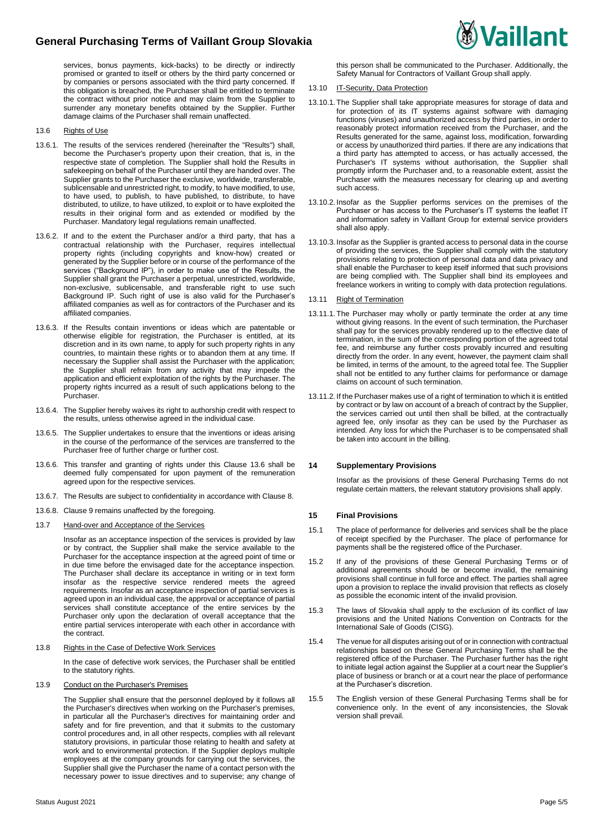## **General Purchasing Terms of Vaillant Group Slovakia**

services, bonus payments, kick-backs) to be directly or indirectly promised or granted to itself or others by the third party concerned or by companies or persons associated with the third party concerned. If this obligation is breached, the Purchaser shall be entitled to terminate the contract without prior notice and may claim from the Supplier to surrender any monetary benefits obtained by the Supplier. Further damage claims of the Purchaser shall remain unaffected.

- 13.6 Rights of Use
- 13.6.1. The results of the services rendered (hereinafter the "Results") shall, become the Purchaser's property upon their creation, that is, in the respective state of completion. The Supplier shall hold the Results in safekeeping on behalf of the Purchaser until they are handed over. The Supplier grants to the Purchaser the exclusive, worldwide, transferable, sublicensable and unrestricted right, to modify, to have modified, to use, to have used, to publish, to have published, to distribute, to have distributed, to utilize, to have utilized, to exploit or to have exploited the results in their original form and as extended or modified by the Purchaser. Mandatory legal regulations remain unaffected.
- 13.6.2. If and to the extent the Purchaser and/or a third party, that has a contractual relationship with the Purchaser, requires intellectual property rights (including copyrights and know-how) created or generated by the Supplier before or in course of the performance of the services ("Background IP"), in order to make use of the Results, the Supplier shall grant the Purchaser a perpetual, unrestricted, worldwide, non-exclusive, sublicensable, and transferable right to use such Background IP. Such right of use is also valid for the Purchaser's affiliated companies as well as for contractors of the Purchaser and its affiliated companies.
- 13.6.3. If the Results contain inventions or ideas which are patentable or otherwise eligible for registration, the Purchaser is entitled, at its discretion and in its own name, to apply for such property rights in any countries, to maintain these rights or to abandon them at any time. If necessary the Supplier shall assist the Purchaser with the application; the Supplier shall refrain from any activity that may impede the application and efficient exploitation of the rights by the Purchaser. The property rights incurred as a result of such applications belong to the Purchaser.
- 13.6.4. The Supplier hereby waives its right to authorship credit with respect to the results, unless otherwise agreed in the individual case.
- 13.6.5. The Supplier undertakes to ensure that the inventions or ideas arising in the course of the performance of the services are transferred to the Purchaser free of further charge or further cost.
- 13.6.6. This transfer and granting of rights under this Clause 13.6 shall be deemed fully compensated for upon payment of the remuneration agreed upon for the respective services.
- 13.6.7. The Results are subject to confidentiality in accordance with Clause 8.
- 13.6.8. Clause 9 remains unaffected by the foregoing.
- 13.7 Hand-over and Acceptance of the Services

Insofar as an acceptance inspection of the services is provided by law or by contract, the Supplier shall make the service available to the Purchaser for the acceptance inspection at the agreed point of time or in due time before the envisaged date for the acceptance inspection. The Purchaser shall declare its acceptance in writing or in text form insofar as the respective service rendered meets the agreed requirements. Insofar as an acceptance inspection of partial services is agreed upon in an individual case, the approval or acceptance of partial services shall constitute acceptance of the entire services by the Purchaser only upon the declaration of overall acceptance that the entire partial services interoperate with each other in accordance with the contract.

13.8 Rights in the Case of Defective Work Services

In the case of defective work services, the Purchaser shall be entitled to the statutory rights.

## 13.9 Conduct on the Purchaser's Premises

The Supplier shall ensure that the personnel deployed by it follows all the Purchaser's directives when working on the Purchaser's premises, in particular all the Purchaser's directives for maintaining order and safety and for fire prevention, and that it submits to the customary control procedures and, in all other respects, complies with all relevant statutory provisions, in particular those relating to health and safety at work and to environmental protection. If the Supplier deploys multiple employees at the company grounds for carrying out the services, the Supplier shall give the Purchaser the name of a contact person with the necessary power to issue directives and to supervise; any change of

this person shall be communicated to the Purchaser. Additionally, the Safety Manual for Contractors of Vaillant Group shall apply.

- 13.10 IT-Security, Data Protection
- 13.10.1. The Supplier shall take appropriate measures for storage of data and for protection of its IT systems against software with damaging functions (viruses) and unauthorized access by third parties, in order to reasonably protect information received from the Purchaser, and the Results generated for the same, against loss, modification, forwarding or access by unauthorized third parties. If there are any indications that a third party has attempted to access, or has actually accessed, the Purchaser's IT systems without authorisation, the Supplier shall promptly inform the Purchaser and, to a reasonable extent, assist the Purchaser with the measures necessary for clearing up and averting such access.
- 13.10.2. Insofar as the Supplier performs services on the premises of the Purchaser or has access to the Purchaser's IT systems the leaflet IT and information safety in Vaillant Group for external service providers shall also apply.
- 13.10.3. Insofar as the Supplier is granted access to personal data in the course of providing the services, the Supplier shall comply with the statutory provisions relating to protection of personal data and data privacy and shall enable the Purchaser to keep itself informed that such provisions are being complied with. The Supplier shall bind its employees and freelance workers in writing to comply with data protection regulations.
- 13.11 Right of Termination
- 13.11.1. The Purchaser may wholly or partly terminate the order at any time without giving reasons. In the event of such termination, the Purchaser shall pay for the services provably rendered up to the effective date of termination, in the sum of the corresponding portion of the agreed total fee, and reimburse any further costs provably incurred and resulting directly from the order. In any event, however, the payment claim shall be limited, in terms of the amount, to the agreed total fee. The Supplier shall not be entitled to any further claims for performance or damage claims on account of such termination.
- 13.11.2. If the Purchaser makes use of a right of termination to which it is entitled by contract or by law on account of a breach of contract by the Supplier, the services carried out until then shall be billed, at the contractually agreed fee, only insofar as they can be used by the Purchaser as intended. Any loss for which the Purchaser is to be compensated shall be taken into account in the billing.

#### **14 Supplementary Provisions**

Insofar as the provisions of these General Purchasing Terms do not regulate certain matters, the relevant statutory provisions shall apply.

## **15 Final Provisions**

- 15.1 The place of performance for deliveries and services shall be the place of receipt specified by the Purchaser. The place of performance for payments shall be the registered office of the Purchaser.
- 15.2 If any of the provisions of these General Purchasing Terms or of additional agreements should be or become invalid, the remaining provisions shall continue in full force and effect. The parties shall agree upon a provision to replace the invalid provision that reflects as closely as possible the economic intent of the invalid provision.
- 15.3 The laws of Slovakia shall apply to the exclusion of its conflict of law provisions and the United Nations Convention on Contracts for the International Sale of Goods (CISG).
- 15.4 The venue for all disputes arising out of or in connection with contractual relationships based on these General Purchasing Terms shall be the registered office of the Purchaser. The Purchaser further has the right to initiate legal action against the Supplier at a court near the Supplier's place of business or branch or at a court near the place of performance at the Purchaser's discretion.
- 15.5 The English version of these General Purchasing Terms shall be for convenience only. In the event of any inconsistencies, the Slovak version shall prevail.

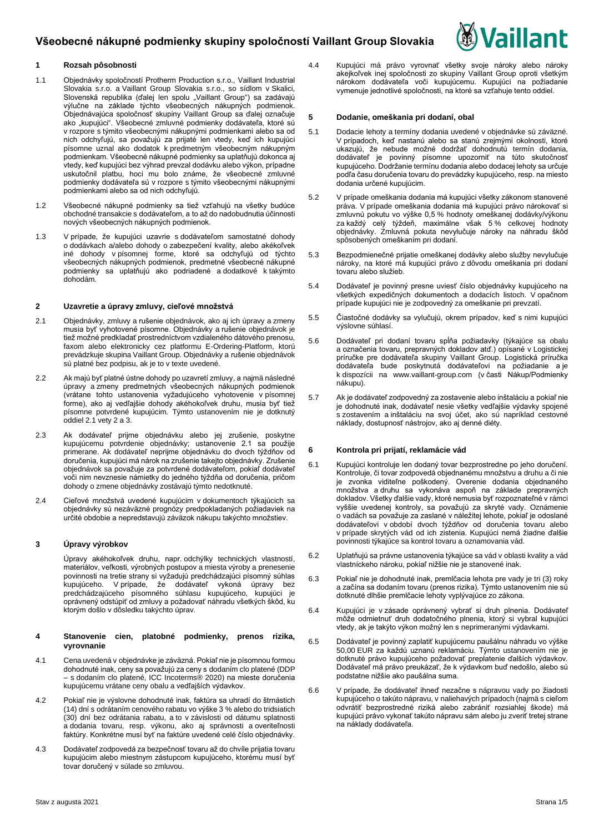

## **1 Rozsah pôsobnosti**

- 1.1 Objednávky spoločností Protherm Production s.r.o., Vaillant Industrial Slovakia s.r.o. a Vaillant Group Slovakia s.r.o., so sídlom v Skalici, Slovenská republika (ďalej len spolu "Vaillant Group") sa zadávajú výlučne na základe týchto všeobecných nákupných podmienok. Objednávajúca spoločnosť skupiny Vaillant Group sa ďalej označuje ako "kupujúci". Všeobecné zmluvné podmienky dodávateľa, ktoré sú v rozpore s týmito všeobecnými nákupnými podmienkami alebo sa od nich odchyľujú, sa považujú za prijaté len vtedy, keď ich kupujúci písomne uznal ako dodatok k predmetným všeobecným nákupným podmienkam. Všeobecné nákupné podmienky sa uplatňujú dokonca aj vtedy, keď kupujúci bez výhrad prevzal dodávku alebo výkon, prípadne uskutočnil platbu, hoci mu bolo známe, že všeobecné zmluvné podmienky dodávateľa sú v rozpore s týmito všeobecnými nákupnými podmienkami alebo sa od nich odchyľujú.
- 1.2 Všeobecné nákupné podmienky sa tiež vzťahujú na všetky budúce obchodné transakcie s dodávateľom, a to až do nadobudnutia účinnosti nových všeobecných nákupných podmienok.
- 1.3 V prípade, že kupujúci uzavrie s dodávateľom samostatné dohody o dodávkach a/alebo dohody o zabezpečení kvality, alebo akékoľvek iné dohody v písomnej forme, ktoré sa odchyľujú od týchto všeobecných nákupných podmienok, predmetné všeobecné nákupné podmienky sa uplatňujú ako podriadené a dodatkové k takýmto dohodám.

## **2 Uzavretie a úpravy zmluvy, cieľové množstvá**

- 2.1 Objednávky, zmluvy a rušenie objednávok, ako aj ich úpravy a zmeny musia byť vyhotovené písomne. Objednávky a rušenie objednávok je tiež možné predkladať prostredníctvom vzdialeného dátového prenosu, faxom alebo elektronicky cez platformu E-Ordering-Platform, ktorú prevádzkuje skupina Vaillant Group. Objednávky a rušenie objednávok sú platné bez podpisu, ak je to v texte uvedené.
- 2.2 Ak majú byť platné ústne dohody po uzavretí zmluvy, a najmä následné úpravy a zmeny predmetných všeobecných nákupných podmienok (vrátane tohto ustanovenia vyžadujúceho vyhotovenie v písomnej forme), ako aj vedľajšie dohody akéhokoľvek druhu, musia byť tiež písomne potvrdené kupujúcim. Týmto ustanovením nie je dotknutý oddiel 2.1 vety 2 a 3.
- 2.3 Ak dodávateľ prijme objednávku alebo jej zrušenie, poskytne kupujúcemu potvrdenie objednávky; ustanovenie 2.1 sa použije primerane. Ak dodávateľ neprijme objednávku do dvoch týždňov od doručenia, kupujúci má nárok na zrušenie takejto objednávky. Zrušenie objednávok sa považuje za potvrdené dodávateľom, pokiaľ dodávateľ voči nim nevznesie námietky do jedného týždňa od doručenia, pričom dohody o zmene objednávky zostávajú týmto nedotknuté.
- 2.4 Cieľové množstvá uvedené kupujúcim v dokumentoch týkajúcich sa objednávky sú nezáväzné prognózy predpokladaných požiadaviek na určité obdobie a nepredstavujú záväzok nákupu takýchto množstiev.

## **3 Úpravy výrobkov**

Úpravy akéhokoľvek druhu, napr. odchýlky technických vlastností, materiálov, veľkosti, výrobných postupov a miesta výroby a prenesenie povinnosti na tretie strany si vyžadujú predchádzajúci písomný súhlas kupujúceho. V prípade, že dodávateľ vykoná úpravy bez predchádzajúceho písomného súhlasu kupujúceho, kupujúci je oprávnený odstúpiť od zmluvy a požadovať náhradu všetkých škôd, ku ktorým došlo v dôsledku takýchto úprav.

#### **4 Stanovenie cien, platobné podmienky, prenos rizika, vyrovnanie**

- 4.1 Cena uvedená v objednávke je záväzná. Pokiaľ nie je písomnou formou dohodnuté inak, ceny sa považujú za ceny s dodaním clo platené (DDP – s dodaním clo platené, ICC Incoterms® 2020) na mieste doručenia kupujúcemu vrátane ceny obalu a vedľajších výdavkov.
- 4.2 Pokiaľ nie je výslovne dohodnuté inak, faktúra sa uhradí do štrnástich (14) dní s odrátaním cenového rabatu vo výške 3 % alebo do tridsiatich (30) dní bez odrátania rabatu, a to v závislosti od dátumu splatnosti a dodania tovaru, resp. výkonu, ako aj správnosti a overiteľnosti faktúry. Konkrétne musí byť na faktúre uvedené celé číslo objednávky.
- 4.3 Dodávateľ zodpovedá za bezpečnosť tovaru až do chvíle prijatia tovaru kupujúcim alebo miestnym zástupcom kupujúceho, ktorému musí byť tovar doručený v súlade so zmluvou.

4.4 Kupujúci má právo vyrovnať všetky svoje nároky alebo nároky akejkoľvek inej spoločnosti zo skupiny Vaillant Group oproti všetkým nárokom dodávateľa voči kupujúcemu. Kupujúci na požiadanie vymenuje jednotlivé spoločnosti, na ktoré sa vzťahuje tento oddiel.

## **5 Dodanie, omeškania pri dodaní, obal**

- 5.1 Dodacie lehoty a termíny dodania uvedené v objednávke sú záväzné. V prípadoch, keď nastanú alebo sa stanú zrejmými okolnosti, ktoré ukazujú, že nebude možné dodržať dohodnutú termín dodania, dodávateľ je povinný písomne upozorniť na túto skutočnosť kupujúceho. Dodržanie termínu dodania alebo dodacej lehoty sa určuje podľa času doručenia tovaru do prevádzky kupujúceho, resp. na miesto dodania určené kupujúcim.
- 5.2 V prípade omeškania dodania má kupujúci všetky zákonom stanovené práva. V prípade omeškania dodania má kupujúci právo nárokovať si zmluvnú pokutu vo výške 0,5 % hodnoty omeškanej dodávky/výkonu za každý celý týždeň, maximálne však 5 % celkovej hodnoty objednávky. Zmluvná pokuta nevylučuje nároky na náhradu škôd spôsobených omeškaním pri dodaní.
- 5.3 Bezpodmienečné prijatie omeškanej dodávky alebo služby nevylučuje nároky, na ktoré má kupujúci právo z dôvodu omeškania pri dodaní tovaru alebo služieb.
- 5.4 Dodávateľ je povinný presne uviesť číslo objednávky kupujúceho na všetkých expedičných dokumentoch a dodacích listoch. V opačnom prípade kupujúci nie je zodpovedný za omeškanie pri prevzatí.
- 5.5 Čiastočné dodávky sa vylučujú, okrem prípadov, keď s nimi kupujúci výslovne súhlasí.
- 5.6 Dodávateľ pri dodaní tovaru spĺňa požiadavky (týkajúce sa obalu a označenia tovaru, prepravných dokladov atď.) opísané v Logistickej príručke pre dodávateľa skupiny Vaillant Group. Logistická príručka dodávateľa bude poskytnutá dodávateľovi na požiadanie a je k dispozícii na [www.vaillant-group.com](http://www.vaillant-group.com/) (v časti Nákup/Podmienky nákupu).
- 5.7 Ak je dodávateľ zodpovedný za zostavenie alebo inštaláciu a pokiaľ nie je dohodnuté inak, dodávateľ nesie všetky vedľajšie výdavky spojené s zostavením a inštaláciu na svoj účet, ako sú napríklad cestovné náklady, dostupnosť nástrojov, ako aj denné diéty.

## **6 Kontrola pri prijatí, reklamácie vád**

- 6.1 Kupujúci kontroluje len dodaný tovar bezprostredne po jeho doručení. Kontroluje, či tovar zodpovedá objednanému množstvu a druhu a či nie je zvonka viditeľne poškodený. Overenie dodania objednaného množstva a druhu sa vykonáva aspoň na základe prepravných dokladov. Všetky ďalšie vady, ktoré nemusia byť rozpoznateľné v rámci vyššie uvedenej kontroly, sa považujú za skryté vady. Oznámenie o vadách sa považuje za zaslané v náležitej lehote, pokiaľ je odoslané dodávateľovi v období dvoch týždňov od doručenia tovaru alebo v prípade skrytých vád od ich zistenia. Kupujúci nemá žiadne ďalšie povinnosti týkajúce sa kontrol tovaru a oznamovania vád.
- 6.2 Uplatňujú sa právne ustanovenia týkajúce sa vád v oblasti kvality a vád vlastníckeho nároku, pokiaľ nižšie nie je stanovené inak.
- 6.3 Pokiaľ nie je dohodnuté inak, premlčacia lehota pre vady je tri (3) roky a začína sa dodaním tovaru (prenos rizika). Týmto ustanovením nie sú dotknuté dlhšie premlčacie lehoty vyplývajúce zo zákona.
- 6.4 Kupujúci je v zásade oprávnený vybrať si druh plnenia. Dodávateľ môže odmietnuť druh dodatočného plnenia, ktorý si vybral kupujúci vtedy, ak je takýto výkon možný len s neprimeranými výdavkami.
- 6.5 Dodávateľ je povinný zaplatiť kupujúcemu paušálnu náhradu vo výške 50,00 EUR za každú uznanú reklamáciu. Týmto ustanovením nie je dotknuté právo kupujúceho požadovať preplatenie ďalších výdavkov. Dodávateľ má právo preukázať, že k výdavkom buď nedošlo, alebo sú podstatne nižšie ako paušálna suma.
- 6.6 V prípade, že dodávateľ ihneď nezačne s nápravou vady po žiadosti kupujúceho o takúto nápravu, v naliehavých prípadoch (najmä s cieľom odvrátiť bezprostredné riziká alebo zabrániť rozsiahlej škode) má kupujúci právo vykonať takúto nápravu sám alebo ju zveriť tretej strane na náklady dodávateľa.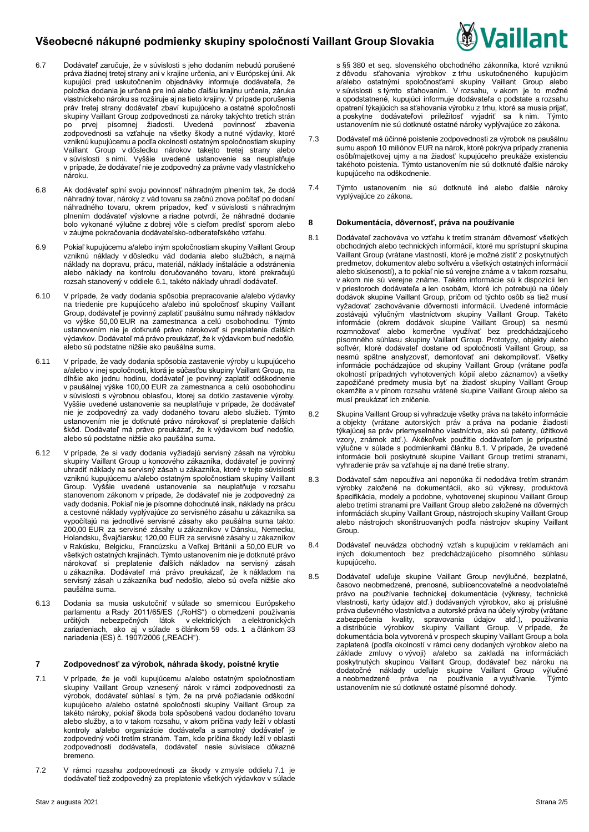

- 6.7 Dodávateľ zaručuje, že v súvislosti s jeho dodaním nebudú porušené práva žiadnej tretej strany ani v krajine určenia, ani v Európskej únii. Ak kupujúci pred uskutočnením objednávky informuje dodávateľa, že položka dodania je určená pre inú alebo ďalšiu krajinu určenia, záruka vlastníckeho nároku sa rozširuje aj na tieto krajiny. V prípade porušenia práv tretej strany dodávateľ zbaví kupujúceho a ostatné spoločnosti skupiny Vaillant Group zodpovednosti za nároky takýchto tretích strán po prvej písomnej žiadosti. Uvedená povinnosť zbavenia zodpovednosti sa vzťahuje na všetky škody a nutné výdavky, ktoré vzniknú kupujúcemu a podľa okolností ostatným spoločnostiam skupiny Vaillant Group v dôsledku nárokov takejto tretej strany alebo v súvislosti s nimi. Vyššie uvedené ustanovenie sa neuplatňuje v prípade, že dodávateľ nie je zodpovedný za právne vady vlastníckeho nároku.
- 6.8 Ak dodávateľ splní svoju povinnosť náhradným plnením tak, že dodá náhradný tovar, nároky z vád tovaru sa začnú znova počítať po dodaní náhradného tovaru, okrem prípadov, keď v súvislosti s náhradným plnením dodávateľ výslovne a riadne potvrdí, že náhradné dodanie bolo vykonané výlučne z dobrej vôle s cieľom predísť sporom alebo v záujme pokračovania dodávateľsko-odberateľského vzťahu.
- 6.9 Pokiaľ kupujúcemu a/alebo iným spoločnostiam skupiny Vaillant Group vzniknú náklady v dôsledku vád dodania alebo službách, a najmä náklady na dopravu, prácu, materiál, náklady inštalácie a odstránenia alebo náklady na kontrolu doručovaného tovaru, ktoré prekračujú rozsah stanovený v oddiele 6.1, takéto náklady uhradí dodávateľ.
- 6.10 V prípade, že vady dodania spôsobia prepracovanie a/alebo výdavky na triedenie pre kupujúceho a/alebo inú spoločnosť skupiny Vaillant Group, dodávateľ je povinný zaplatiť paušálnu sumu náhrady nákladov vo výške 50,00 EUR na zamestnanca a celú osobohodinu. Týmto ustanovením nie je dotknuté právo nárokovať si preplatenie ďalších výdavkov. Dodávateľ má právo preukázať, že k výdavkom buď nedošlo, alebo sú podstatne nižšie ako paušálna suma.
- 6.11 V prípade, že vady dodania spôsobia zastavenie výroby u kupujúceho a/alebo v inej spoločnosti, ktorá je súčasťou skupiny Vaillant Group, na dlhšie ako jednu hodinu, dodávateľ je povinný zaplatiť odškodnenie v paušálnej výške 100,00 EUR za zamestnanca a celú osobohodinu v súvislosti s výrobnou oblasťou, ktorej sa dotklo zastavenie výroby. Vyššie uvedené ustanovenie sa neuplatňuje v prípade, že dodávateľ nie je zodpovedný za vady dodaného tovaru alebo služieb. Týmto ustanovením nie je dotknuté právo nárokovať si preplatenie ďalších škôd. Dodávateľ má právo preukázať, že k výdavkom buď nedošlo, alebo sú podstatne nižšie ako paušálna suma.
- 6.12 V prípade, že si vady dodania vyžiadajú servisný zásah na výrobku skupiny Vaillant Group u koncového zákazníka, dodávateľ je povinný uhradiť náklady na servisný zásah u zákazníka, ktoré v tejto súvislosti vzniknú kupujúcemu a/alebo ostatným spoločnostiam skupiny Vaillant Group. Vyššie uvedené ustanovenie sa neuplatňuje v rozsahu stanovenom zákonom v prípade, že dodávateľ nie je zodpovedný za vady dodania. Pokiaľ nie je písomne dohodnuté inak, náklady na prácu a cestovné náklady vyplývajúce zo servisného zásahu u zákazníka sa vypočítajú na jednotlivé servisné zásahy ako paušálna suma takto: 200,00 EUR za servisné zásahy u zákazníkov v Dánsku, Nemecku, Holandsku, Švajčiarsku; 120,00 EUR za servisné zásahy u zákazníkov v Rakúsku, Belgicku, Francúzsku a Veľkej Británii a 50,00 EUR vo všetkých ostatných krajinách. Týmto ustanovením nie je dotknuté právo nárokovať si preplatenie ďalších nákladov na servisný zásah u zákazníka. Dodávateľ má právo preukázať, že k nákladom na servisný zásah u zákazníka buď nedošlo, alebo sú oveľa nižšie ako paušálna suma.
- 6.13 Dodania sa musia uskutočniť v súlade so smernicou Európskeho parlamentu a Rady 2011/65/ES ("RoHS") o obmedzení používania určitých nebezpečných látok v elektrických a elektronických zariadeniach, ako aj v súlade s článkom 59 ods. 1 a článkom 33 nariadenia (ES) č. 1907/2006 ("REACH").

## **7 Zodpovednosť za výrobok, náhrada škody, poistné krytie**

- 7.1 V prípade, že je voči kupujúcemu a/alebo ostatným spoločnostiam skupiny Vaillant Group vznesený nárok v rámci zodpovednosti za výrobok, dodávateľ súhlasí s tým, že na prvé požiadanie odškodní kupujúceho a/alebo ostatné spoločnosti skupiny Vaillant Group za takéto nároky, pokiaľ škoda bola spôsobená vadou dodaného tovaru alebo služby, a to v takom rozsahu, v akom príčina vady leží v oblasti kontroly a/alebo organizácie dodávateľa a samotný dodávateľ je zodpovedný voči tretím stranám. Tam, kde príčina škody leží v oblasti zodpovednosti dodávateľa, dodávateľ nesie súvisiace dôkazné bremeno.
- 7.2 V rámci rozsahu zodpovednosti za škody v zmysle oddielu 7.1 je dodávateľ tiež zodpovedný za preplatenie všetkých výdavkov v súlade

s §§ 380 et seq. slovenského obchodného zákonníka, ktoré vzniknú z dôvodu sťahovania výrobkov z trhu uskutočneného kupujúcim a/alebo ostatnými spoločnosťami skupiny Vaillant Group alebo v súvislosti s týmto sťahovaním. V rozsahu, v akom je to možné a opodstatnené, kupujúci informuje dodávateľa o podstate a rozsahu opatrení týkajúcich sa sťahovania výrobku z trhu, ktoré sa musia prijať, a poskytne dodávateľovi príležitosť vyjadriť sa k nim. Týmto ustanovením nie sú dotknuté ostatné nároky vyplývajúce zo zákona.

- 7.3 Dodávateľ má účinné poistenie zodpovednosti za výrobok na paušálnu sumu aspoň 10 miliónov EUR na nárok, ktoré pokrýva prípady zranenia osôb/majetkovej ujmy a na žiadosť kupujúceho preukáže existenciu takéhoto poistenia. Týmto ustanovením nie sú dotknuté ďalšie nároky kupujúceho na odškodnenie.
- 7.4 Týmto ustanovením nie sú dotknuté iné alebo ďalšie nároky vyplývajúce zo zákona.

#### **8 Dokumentácia, dôvernosť, práva na používanie**

- 8.1 Dodávateľ zachováva vo vzťahu k tretím stranám dôvernosť všetkých obchodných alebo technických informácií, ktoré mu sprístupní skupina Vaillant Group (vrátane vlastností, ktoré je možné zistiť z poskytnutých predmetov, dokumentov alebo softvéru a všetkých ostatných informácií alebo skúseností), a to pokiaľ nie sú verejne známe a v takom rozsahu, v akom nie sú verejne známe. Takéto informácie sú k dispozícii len v priestoroch dodávateľa a len osobám, ktoré ich potrebujú na účely dodávok skupine Vaillant Group, pričom od týchto osôb sa tiež musí vyžadovať zachovávanie dôvernosti informácií. Uvedené informácie zostávajú výlučným vlastníctvom skupiny Vaillant Group. Takéto informácie (okrem dodávok skupine Vaillant Group) sa nesmú rozmnožovať alebo komerčne využívať bez predchádzajúceho písomného súhlasu skupiny Vaillant Group. Prototypy, objekty alebo softvér, ktoré dodávateľ dostane od spoločnosti Vaillant Group, sa nesmú spätne analyzovať, demontovať ani dekompilovať. Všetky informácie pochádzajúce od skupiny Vaillant Group (vrátane podľa okolností prípadných vyhotovených kópií alebo záznamov) a všetky zapožičané predmety musia byť na žiadosť skupiny Vaillant Group okamžite a v plnom rozsahu vrátené skupine Vaillant Group alebo sa musí preukázať ich zničenie.
- 8.2 Skupina Vaillant Group si vyhradzuje všetky práva na takéto informácie a objekty (vrátane autorských práv a práva na podanie žiadosti týkajúcej sa práv priemyselného vlastníctva, ako sú patenty, úžitkové vzory, známok atď.). Akékoľvek použitie dodávateľom je prípustné výlučne v súlade s podmienkami článku 8.1. V prípade, že uvedené informácie boli poskytnuté skupine Vaillant Group tretími stranami, vyhradenie práv sa vzťahuje aj na dané tretie strany.
- 8.3 Dodávateľ sám nepoužíva ani neponúka či nedodáva tretím stranám výrobky založené na dokumentácii, ako sú výkresy, produktová špecifikácia, modely a podobne, vyhotovenej skupinou Vaillant Group alebo tretími stranami pre Vaillant Group alebo založené na dôverných informáciách skupiny Vaillant Group, nástrojoch skupiny Vaillant Group alebo nástrojoch skonštruovaných podľa nástrojov skupiny Vaillant Group
- 8.4 Dodávateľ neuvádza obchodný vzťah s kupujúcim v reklamách ani iných dokumentoch bez predchádzajúceho písomného súhlasu kupujúceho.
- 8.5 Dodávateľ udeľuje skupine Vaillant Group nevýlučné, bezplatné, časovo neobmedzené, prenosné, sublicencovateľné a neodvolateľné právo na používanie technickej dokumentácie (výkresy, technické vlastnosti, karty údajov atď.) dodávaných výrobkov, ako aj príslušné práva duševného vlastníctva a autorské práva na účely výroby (vrátane zabezpečenia kvality, spravovania údajov atď.), používania a distribúcie výrobkov skupiny Vaillant Group. V prípade, že a distribúcie výrobkov skupiny Vaillant Group. V prípade, že<br>dokumentácia bola vytvorená v prospech skupiny Vaillant Group a bola zaplatená (podľa okolností v rámci ceny dodaných výrobkov alebo na základe zmluvy o vývoji) a/alebo sa zakladá na informáciách poskytnutých skupinou Vaillant Group, dodávateľ bez nároku na dodatočné náklady udeľuje skupine Vaillant Group výlučné a neobmedzené práva na používanie a využívanie. Týmto ustanovením nie sú dotknuté ostatné písomné dohody.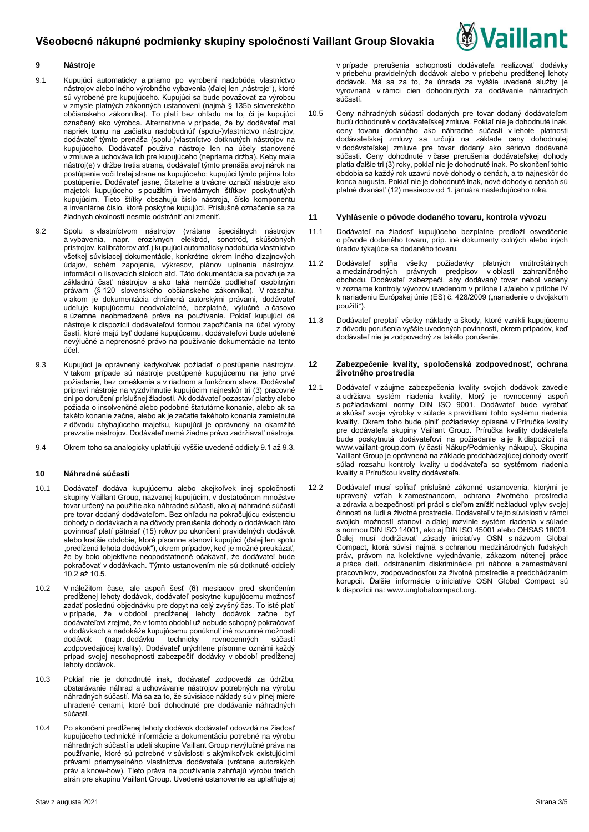

## **9 Nástroje**

- 9.1 Kupujúci automaticky a priamo po vyrobení nadobúda vlastníctvo nástrojov alebo iného výrobného vybavenia (ďalej len "nástroje"), ktoré sú vyrobené pre kupujúceho. Kupujúci sa bude považovať za výrobcu v zmysle platných zákonných ustanovení (najmä § 135b slovenského občianskeho zákonníka). To platí bez ohľadu na to, či je kupujúci označený ako výrobca. Alternatívne v prípade, že by dodávateľ mal napriek tomu na začiatku nadobudnúť (spolu-)vlastníctvo nástrojov, dodávateľ týmto prenáša (spolu-)vlastníctvo dotknutých nástrojov na kupujúceho. Dodávateľ používa nástroje len na účely stanovené v zmluve a uchováva ich pre kupujúceho (nepriama držba). Keby mala nástroj(e) v držbe tretia strana, dodávateľ týmto prenáša svoj nárok na postúpenie voči tretej strane na kupujúceho; kupujúci týmto prijíma toto postúpenie. Dodávateľ jasne, čitateľne a trvácne označí nástroje ako majetok kupujúceho s použitím inventárnych štítkov poskytnutých kupujúcim. Tieto štítky obsahujú číslo nástroja, číslo komponentu a inventárne číslo, ktoré poskytne kupujúci. Príslušné označenie sa za žiadnych okolností nesmie odstrániť ani zmeniť.
- 9.2 Spolu s vlastníctvom nástrojov (vrátane špeciálnych nástrojov a vybavenia, napr. erozívnych elektród, sonotród, skúšobných prístrojov, kalibrátorov atď.) kupujúci automaticky nadobúda vlastníctvo všetkej súvisiacej dokumentácie, konkrétne okrem iného dizajnových údajov, schém zapojenia, výkresov, plánov upínania nástrojov, informácií o lisovacích stoloch atď. Táto dokumentácia sa považuje za základnú časť nástrojov a ako taká nemôže podliehať osobitným právam (§ 120 slovenského občianskeho zákonníka). V rozsahu, .<br>v akom je dokumentácia chránená autorskými právami, dodávateľ udeľuje kupujúcemu neodvolateľné, bezplatné, výlučné a časovo a územne neobmedzené práva na používanie. Pokiaľ kupujúci dá nástroje k dispozícii dodávateľovi formou zapožičania na účel výroby častí, ktoré majú byť dodané kupujúcemu, dodávateľovi bude udelené nevýlučné a neprenosné právo na používanie dokumentácie na tento účel.
- 9.3 Kupujúci je oprávnený kedykoľvek požiadať o postúpenie nástrojov. V takom prípade sú nástroje postúpené kupujúcemu na jeho prvé požiadanie, bez omeškania a v riadnom a funkčnom stave. Dodávateľ pripraví nástroje na vyzdvihnutie kupujúcim najneskôr tri (3) pracovné dni po doručení príslušnej žiadosti. Ak dodávateľ pozastaví platby alebo požiada o insolvenčné alebo podobné štatutárne konanie, alebo ak sa takéto konanie začne, alebo ak je začatie takéhoto konania zamietnuté z dôvodu chýbajúceho majetku, kupujúci je oprávnený na okamžité prevzatie nástrojov. Dodávateľ nemá žiadne právo zadržiavať nástroje.

9.4 Okrem toho sa analogicky uplatňujú vyššie uvedené oddiely 9.1 až 9.3.

## **10 Náhradné súčasti**

- 10.1 Dodávateľ dodáva kupujúcemu alebo akejkoľvek inej spoločnosti skupiny Vaillant Group, nazvanej kupujúcim, v dostatočnom množstve tovar určený na použitie ako náhradné súčasti, ako aj náhradné súčasti pre tovar dodaný dodávateľom. Bez ohľadu na pokračujúcu existenciu dohody o dodávkach a na dôvody prerušenia dohody o dodávkach táto povinnosť platí pätnásť (15) rokov po ukončení pravidelných dodávok alebo kratšie obdobie, ktoré písomne stanoví kupujúci (ďalej len spolu "predĺžená lehota dodávok"), okrem prípadov, keď je možné preukázať, že by bolo objektívne neopodstatnené očakávať, že dodávateľ bude pokračovať v dodávkach. Týmto ustanovením nie sú dotknuté oddiely  $10.2$  až 10.5.
- 10.2 V náležitom čase, ale aspoň šesť (6) mesiacov pred skončením predĺženej lehoty dodávok, dodávateľ poskytne kupujúcemu možnosť zadať poslednú objednávku pre dopyt na celý zvyšný čas. To isté platí v prípade, že v období predĺženej lehoty dodávok začne byť dodávateľovi zrejmé, že v tomto období už nebude schopný pokračovať v dodávkach a nedokáže kupujúcemu ponúknuť iné rozumné možnosti dodávok (napr. dodávku technicky rovnocenných súčastí zodpovedajúcej kvality). Dodávateľ urýchlene písomne oznámi každý prípad svojej neschopnosti zabezpečiť dodávky v období predĺženej lehoty dodávok.
- 10.3 Pokiaľ nie je dohodnuté inak, dodávateľ zodpovedá za údržbu, obstarávanie náhrad a uchovávanie nástrojov potrebných na výrobu náhradných súčastí. Má sa za to, že súvisiace náklady sú v plnej miere uhradené cenami, ktoré boli dohodnuté pre dodávanie náhradných súčastí.
- 10.4 Po skončení predĺženej lehoty dodávok dodávateľ odovzdá na žiadosť kupujúceho technické informácie a dokumentáciu potrebné na výrobu náhradných súčastí a udelí skupine Vaillant Group nevýlučné práva na používanie, ktoré sú potrebné v súvislosti s akýmikoľvek existujúcimi právami priemyselného vlastníctva dodávateľa (vrátane autorských práv a know-how). Tieto práva na používanie zahŕňajú výrobu tretích strán pre skupinu Vaillant Group. Uvedené ustanovenie sa uplatňuje aj

v prípade prerušenia schopnosti dodávateľa realizovať dodávky v priebehu pravidelných dodávok alebo v priebehu predĺženej lehoty dodávok. Má sa za to, že úhrada za vyššie uvedené služby je vyrovnaná v rámci cien dohodnutých za dodávanie náhradných súčastí.

10.5 Ceny náhradných súčastí dodaných pre tovar dodaný dodávateľom budú dohodnuté v dodávateľskej zmluve. Pokiaľ nie je dohodnuté inak, ceny tovaru dodaného ako náhradné súčasti v lehote platnosti dodávateľskej zmluvy sa určujú na základe ceny dohodnutej v dodávateľskej zmluve pre tovar dodaný ako sériovo dodávané súčasti. Ceny dohodnuté v čase prerušenia dodávateľskej dohody platia ďalšie tri (3) roky, pokiaľ nie je dohodnuté inak. Po skončení tohto obdobia sa každý rok uzavrú nové dohody o cenách, a to najneskôr do konca augusta. Pokiaľ nie je dohodnuté inak, nové dohody o cenách sú platné dvanásť (12) mesiacov od 1. januára nasledujúceho roka.

#### **11 Vyhlásenie o pôvode dodaného tovaru, kontrola vývozu**

- 11.1 Dodávateľ na žiadosť kupujúceho bezplatne predloží osvedčenie o pôvode dodaného tovaru, príp. iné dokumenty colných alebo iných úradov týkajúce sa dodaného tovaru.
- 11.2 Dodávateľ spĺňa všetky požiadavky platných vnútroštátnych a medzinárodných právnych predpisov v oblasti zahraničného obchodu. Dodávateľ zabezpečí, aby dodávaný tovar nebol vedený v zozname kontroly vývozov uvedenom v prílohe I a/alebo v prílohe IV k nariadeniu Európskej únie (ES) č. 428/2009 ("nariadenie o dvojakom použití").
- 11.3 Dodávateľ preplatí všetky náklady a škody, ktoré vznikli kupujúcemu z dôvodu porušenia vyššie uvedených povinností, okrem prípadov, keď dodávateľ nie je zodpovedný za takéto porušenie.

### **12 Zabezpečenie kvality, spoločenská zodpovednosť, ochrana životného prostredia**

- 12.1 Dodávateľ v záujme zabezpečenia kvality svojich dodávok zavedie a udržiava systém riadenia kvality, ktorý je rovnocenný aspoň s požiadavkami normy DIN ISO 9001. Dodávateľ bude vyrábať a skúšať svoje výrobky v súlade s pravidlami tohto systému riadenia kvality. Okrem toho bude plniť požiadavky opísané v Príručke kvality pre dodávateľa skupiny Vaillant Group. Príručka kvality dodávateľa bude poskytnutá dodávateľovi na požiadanie a je k dispozícii na [www.vaillant-group.com](http://www.vaillant-group.com/) (v časti Nákup/Podmienky nákupu). Skupina Vaillant Group je oprávnená na základe predchádzajúcej dohody overiť súlad rozsahu kontroly kvality u dodávateľa so systémom riadenia kvality a Príručkou kvality dodávateľa.
- 12.2 Dodávateľ musí spĺňať príslušné zákonné ustanovenia, ktorými je upravený vzťah k zamestnancom, ochrana životného prostredia a zdravia a bezpečnosti pri práci s cieľom znížiť nežiaduci vplyv svojej činnosti na ľudí a životné prostredie. Dodávateľ v tejto súvislosti v rámci svojich možností stanoví a ďalej rozvinie systém riadenia v súlade s normou DIN ISO 14001, ako aj DIN ISO 45001 alebo OHSAS 18001. Ďalej musí dodržiavať zásady iniciatívy OSN s názvom Global Compact, ktorá súvisí najmä s ochranou medzinárodných ľudských práv, právom na kolektívne vyjednávanie, zákazom nútenej práce a práce detí, odstránením diskriminácie pri nábore a zamestnávaní pracovníkov, zodpovednosťou za životné prostredie a predchádzaním korupcii. Ďalšie informácie o iniciatíve OSN Global Compact sú k dispozícii na[: www.unglobalcompact.org.](http://www.unglobalcompact.org/)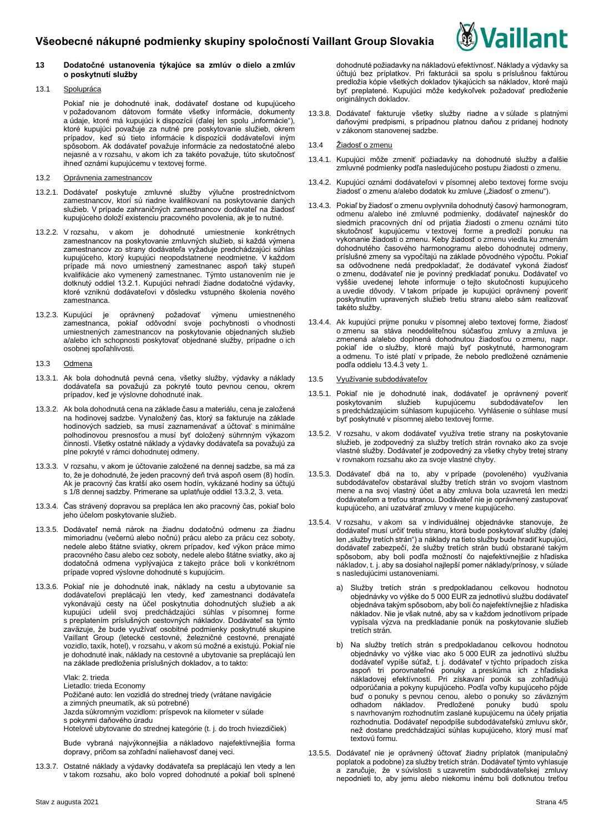

## **13 Dodatočné ustanovenia týkajúce sa zmlúv o dielo a zmlúv o poskytnutí služby**

## 13.1 Spolupráca

Pokiaľ nie je dohodnuté inak, dodávateľ dostane od kupujúceho v požadovanom dátovom formáte všetky informácie, dokumenty a údaje, ktoré má kupujúci k dispozícii (ďalej len spolu "informácie"), ktoré kupujúci považuje za nutné pre poskytovanie služieb, okrem prípadov, keď sú tieto informácie k dispozícii dodávateľovi iným spôsobom. Ak dodávateľ považuje informácie za nedostatočné alebo nejasné a v rozsahu, v akom ich za takéto považuje, túto skutočnosť ihneď oznámi kupujúcemu v textovej forme.

## 13.2 Oprávnenia zamestnancov

- 13.2.1. Dodávateľ poskytuje zmluvné služby výlučne prostredníctvom zamestnancov, ktorí sú riadne kvalifikovaní na poskytovanie daných služieb. V prípade zahraničných zamestnancov dodávateľ na žiadosť kupujúceho doloží existenciu pracovného povolenia, ak je to nutné.
- 13.2.2. V rozsahu, v akom je dohodnuté umiestnenie konkrétnych zamestnancov na poskytovanie zmluvných služieb, si každá výmena zamestnancov zo strany dodávateľa vyžaduje predchádzajúci súhlas kupujúceho, ktorý kupujúci neopodstatnene neodmietne. V každom prípade má novo umiestnený zamestnanec aspoň taký stupeň kvalifikácie ako vymenený zamestnanec. Týmto ustanovením nie je dotknutý oddiel 13.2.1. Kupujúci nehradí žiadne dodatočné výdavky, ktoré vzniknú dodávateľovi v dôsledku vstupného školenia nového zamestnanca.
- 13.2.3. Kupujúci je oprávnený požadovať výmenu umiestneného zamestnanca, pokiaľ odôvodní svoje pochybnosti o vhodnosti umiestnených zamestnancov na poskytovanie objednaných služieb a/alebo ich schopnosti poskytovať objednané služby, prípadne o ich osobnej spoľahlivosti.
- 13.3 Odmena
- 13.3.1. Ak bola dohodnutá pevná cena, všetky služby, výdavky a náklady dodávateľa sa považujú za pokryté touto pevnou cenou, okrem prípadov, keď je výslovne dohodnuté inak.
- 13.3.2. Ak bola dohodnutá cena na základe času a materiálu, cena je založená na hodinovej sadzbe. Vynaložený čas, ktorý sa fakturuje na základe hodinových sadzieb, sa musí zaznamenávať a účtovať s minimálne polhodinovou presnosťou a musí byť doložený súhrnným výkazom činností. Všetky ostatné náklady a výdavky dodávateľa sa považujú za plne pokryté v rámci dohodnutej odmeny.
- 13.3.3. V rozsahu, v akom je účtovanie založené na dennej sadzbe, sa má za to, že je dohodnuté, že jeden pracovný deň trvá aspoň osem (8) hodín. Ak je pracovný čas kratší ako osem hodín, vykázané hodiny sa účtujú s 1/8 dennej sadzby. Primerane sa uplatňuje oddiel 13.3.2, 3. veta.
- 13.3.4. Čas strávený dopravou sa prepláca len ako pracovný čas, pokiaľ bolo jeho účelom poskytovanie služieb.
- 13.3.5. Dodávateľ nemá nárok na žiadnu dodatočnú odmenu za žiadnu mimoriadnu (večernú alebo nočnú) prácu alebo za prácu cez soboty, nedele alebo štátne sviatky, okrem prípadov, keď výkon práce mimo pracovného času alebo cez soboty, nedele alebo štátne sviatky, ako aj dodatočná odmena vyplývajúca z takejto práce boli v konkrétnom prípade vopred výslovne dohodnuté s kupujúcim.
- 13.3.6. Pokiaľ nie je dohodnuté inak, náklady na cestu a ubytovanie sa dodávateľovi preplácajú len vtedy, keď zamestnanci dodávateľa vykonávajú cesty na účel poskytnutia dohodnutých služieb a ak kupujúci udelil svoj predchádzajúci súhlas v písomnej forme s preplatením príslušných cestovných nákladov. Dodávateľ sa týmto zaväzuje, že bude využívať osobitné podmienky poskytnuté skupine Vaillant Group (letecké cestovné, železničné cestovné, prenajaté vozidlo, taxík, hotel), v rozsahu, v akom sú možné a existujú. Pokiaľ nie je dohodnuté inak, náklady na cestovné a ubytovanie sa preplácajú len na základe predloženia príslušných dokladov, a to takto:

Vlak: 2. trieda

Lietadlo: trieda Economy

Požičané auto: len vozidlá do strednej triedy (vrátane navigácie a zimných pneumatík, ak sú potrebné)

Jazda súkromným vozidlom: príspevok na kilometer v súlade

s pokynmi daňového úradu

Hotelové ubytovanie do strednej kategórie (t. j. do troch hviezdičiek)

Bude vybraná najvýkonnejšia a nákladovo najefektívnejšia forma dopravy, pričom sa zohľadní naliehavosť danej veci.

13.3.7. Ostatné náklady a výdavky dodávateľa sa preplácajú len vtedy a len v takom rozsahu, ako bolo vopred dohodnuté a pokiaľ boli splnené dohodnuté požiadavky na nákladovú efektívnosť. Náklady a výdavky sa účtujú bez príplatkov. Pri fakturácii sa spolu s príslušnou faktúrou predložia kópie všetkých dokladov týkajúcich sa nákladov, ktoré majú byť preplatené. Kupujúci môže kedykoľvek požadovať predloženie originálnych dokladov.

13.3.8. Dodávateľ fakturuje všetky služby riadne a v súlade s platnými daňovými predpismi, s prípadnou platnou daňou z pridanej hodnoty v zákonom stanovenej sadzbe.

## 13.4 Žiadosť o zmenu

- 13.4.1. Kupujúci môže zmeniť požiadavky na dohodnuté služby a ďalšie zmluvné podmienky podľa nasledujúceho postupu žiadosti o zmenu.
- 13.4.2. Kupujúci oznámi dodávateľovi v písomnej alebo textovej forme svoju žiadosť o zmenu a/alebo dodatok ku zmluve ("žiadosť o zmenu").
- 13.4.3. Pokiaľ by žiadosť o zmenu ovplyvnila dohodnutý časový harmonogram, odmenu a/alebo iné zmluvné podmienky, dodávateľ najneskôr do siedmich pracovných dní od prijatia žiadosti o zmenu oznámi túto skutočnosť kupujúcemu v textovej forme a predloží ponuku na vykonanie žiadosti o zmenu. Keby žiadosť o zmenu viedla ku zmenám dohodnutého časového harmonogramu alebo dohodnutej odmeny, príslušné zmeny sa vypočítajú na základe pôvodného výpočtu. Pokiaľ sa odôvodnene nedá predpokladať, že dodávateľ vykoná žiadosť o zmenu, dodávateľ nie je povinný predkladať ponuku. Dodávateľ vo vyššie uvedenej lehote informuje o tejto skutočnosti kupujúceho a uvedie dôvody. V takom prípade je kupujúci oprávnený poveriť poskytnutím upravených služieb tretiu stranu alebo sám realizovať takéto služby.
- 13.4.4. Ak kupujúci prijme ponuku v písomnej alebo textovej forme, žiadosť o zmenu sa stáva neoddeliteľnou súčasťou zmluvy a zmluva je zmenená a/alebo doplnená dohodnutou žiadosťou o zmenu, napr. pokiaľ ide o služby, ktoré majú byť poskytnuté, harmonogram a odmenu. To isté platí v prípade, že nebolo predložené oznámenie podľa oddielu 13.4.3 vety 1.

### 13.5 Využívanie subdodávateľov

- 13.5.1. Pokiaľ nie je dohodnuté inak, dodávateľ je oprávnený poveriť poskytovaním služieb kupujúcemu subdodávateľov len s predchádzajúcim súhlasom kupujúceho. Vyhlásenie o súhlase musí byť poskytnuté v písomnej alebo textovej forme.
- 13.5.2. V rozsahu, v akom dodávateľ využíva tretie strany na poskytovanie služieb, je zodpovedný za služby tretích strán rovnako ako za svoje vlastné služby. Dodávateľ je zodpovedný za všetky chyby tretej strany v rovnakom rozsahu ako za svoje vlastné chyby.
- 13.5.3. Dodávateľ dbá na to, aby v prípade (povoleného) využívania subdodávateľov obstarával služby tretích strán vo svojom vlastnom mene a na svoj vlastný účet a aby zmluva bola uzavretá len medzi dodávateľom a treťou stranou. Dodávateľ nie je oprávnený zastupovať kupujúceho, ani uzatvárať zmluvy v mene kupujúceho.
- 13.5.4. V rozsahu, v akom sa v individuálnej objednávke stanovuje, že dodávateľ musí určiť tretiu stranu, ktorá bude poskytovať služby (ďalej len "služby tretích strán") a náklady na tieto služby bude hradiť kupujúci, dodávateľ zabezpečí, že služby tretích strán budú obstarané takým spôsobom, aby boli podľa možností čo najefektívnejšie z hľadiska nákladov, t. j. aby sa dosiahol najlepší pomer náklady/prínosy, v súlade s nasledujúcimi ustanoveniami.
	- a) Služby tretích strán s predpokladanou celkovou hodnotou objednávky vo výške do 5 000 EUR za jednotlivú službu dodávateľ objednáva takým spôsobom, aby boli čo najefektívnejšie z hľadiska nákladov. Nie je však nutné, aby sa v každom jednotlivom prípade vypísala výzva na predkladanie ponúk na poskytovanie služieb tretích strán.
	- b) Na služby tretích strán s predpokladanou celkovou hodnotou objednávky vo výške viac ako 5 000 EUR za jednotlivú službu dodávateľ vypíše súťaž, t. j. dodávateľ v týchto prípadoch získa aspoň tri porovnateľné ponuky a preskúma ich z hľadiska nákladovej efektívnosti. Pri získavaní ponúk sa zohľadňujú odporúčania a pokyny kupujúceho. Podľa voľby kupujúceho pôjde buď o ponuky s pevnou cenou, alebo o ponuky so záväzným Predložené ponuky budú spolu s navrhovaným rozhodnutím zaslané kupujúcemu na účely prijatia rozhodnutia. Dodávateľ nepodpíše subdodávateľskú zmluvu skôr, než dostane predchádzajúci súhlas kupujúceho, ktorý musí mať textovú formu.
- 13.5.5. Dodávateľ nie je oprávnený účtovať žiadny príplatok (manipulačný poplatok a podobne) za služby tretích strán. Dodávateľ týmto vyhlasuje a zaručuje, že v súvislosti s uzavretím subdodávateľskej zmluvy nepodnieti to, aby jemu alebo niekomu inému boli dotknutou treťou